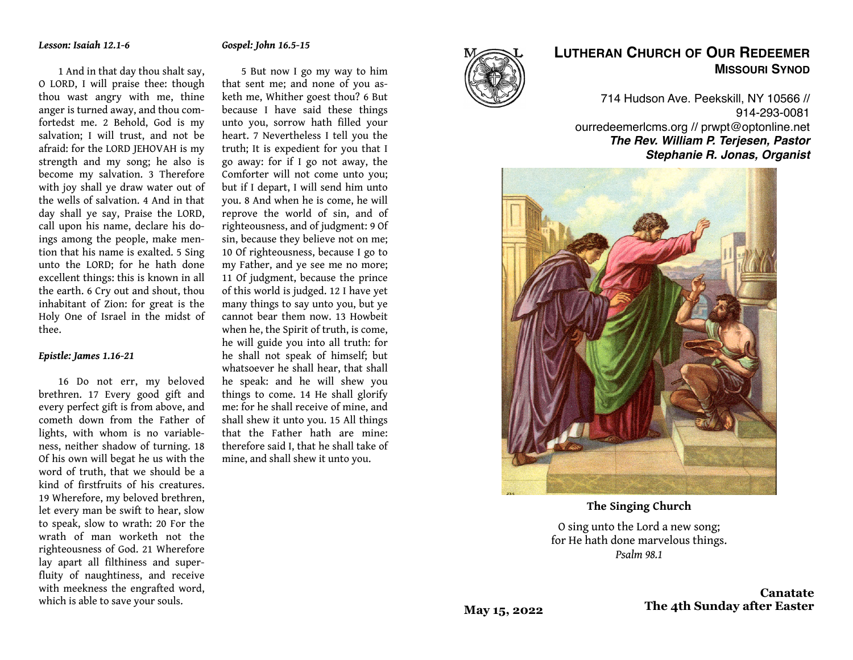#### *Gospel: John 16.5-15*

1 And in that day thou shalt say, O LORD, I will praise thee: though thou wast angry with me, thine anger is turned away, and thou comfortedst me. 2 Behold, God is my salvation; I will trust, and not be afraid: for the LORD JEHOVAH is my strength and my song; he also is become my salvation. 3 Therefore with joy shall ye draw water out of the wells of salvation. 4 And in that day shall ye say, Praise the LORD, call upon his name, declare his doings among the people, make mention that his name is exalted. 5 Sing unto the LORD; for he hath done excellent things: this is known in all the earth. 6 Cry out and shout, thou inhabitant of Zion: for great is the Holy One of Israel in the midst of thee.

#### *Epistle: James 1.16-21*

16 Do not err, my beloved brethren. 17 Every good gift and every perfect gift is from above, and cometh down from the Father of lights, with whom is no variableness, neither shadow of turning. 18 Of his own will begat he us with the word of truth, that we should be a kind of firstfruits of his creatures. 19 Wherefore, my beloved brethren, let every man be swift to hear, slow to speak, slow to wrath: 20 For the wrath of man worketh not the righteousness of God. 21 Wherefore lay apart all filthiness and superfluity of naughtiness, and receive with meekness the engrafted word, which is able to save your souls.

5 But now I go my way to him that sent me; and none of you asketh me, Whither goest thou? 6 But because I have said these things unto you, sorrow hath filled your heart. 7 Nevertheless I tell you the truth; It is expedient for you that I go away: for if I go not away, the Comforter will not come unto you; but if I depart, I will send him unto you. 8 And when he is come, he will reprove the world of sin, and of righteousness, and of judgment: 9 Of sin, because they believe not on me; 10 Of righteousness, because I go to my Father, and ye see me no more; 11 Of judgment, because the prince of this world is judged. 12 I have yet many things to say unto you, but ye cannot bear them now. 13 Howbeit when he, the Spirit of truth, is come, he will guide you into all truth: for he shall not speak of himself; but whatsoever he shall hear, that shall he speak: and he will shew you things to come. 14 He shall glorify me: for he shall receive of mine, and shall shew it unto you. 15 All things that the Father hath are mine: therefore said I, that he shall take of mine, and shall shew it unto you.



# **LUTHERAN CHURCH OF OUR REDEEMER MISSOURI SYNOD**

714 Hudson Ave. Peekskill, NY 10566 // 914-293-0081 ourredeemerlcms.org // prwpt@optonline.net *The Rev. William P. Terjesen, Pastor Stephanie R. Jonas, Organist*



**The Singing Church**

O sing unto the Lord a new song; for He hath done marvelous things. *Psalm 98.1*